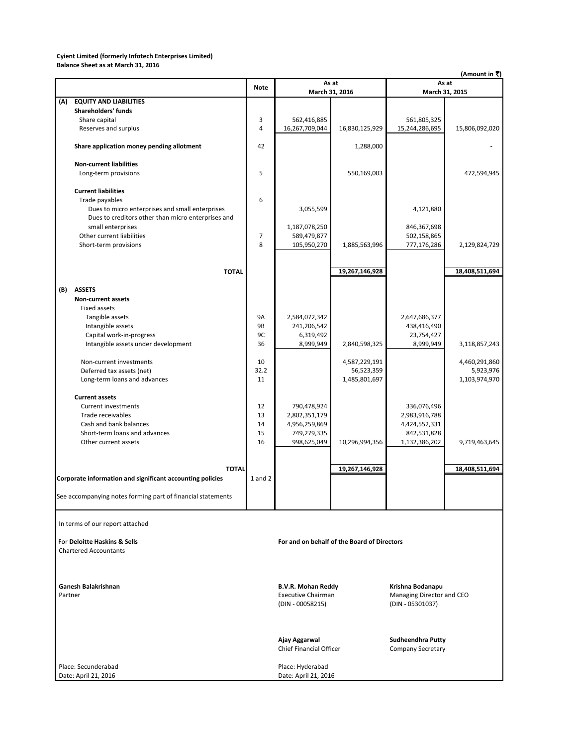## **Cyient Limited (formerly Infotech Enterprises Limited) Balance Sheet as at March 31, 2016**

| (Amount in ₹) |  |  |
|---------------|--|--|
|---------------|--|--|

|         |                                                                           | <b>Note</b>    |                                                        | As at                                       | As at                                         |                |  |
|---------|---------------------------------------------------------------------------|----------------|--------------------------------------------------------|---------------------------------------------|-----------------------------------------------|----------------|--|
|         |                                                                           |                |                                                        | March 31, 2016                              | March 31, 2015                                |                |  |
| (A)     | <b>EQUITY AND LIABILITIES</b>                                             |                |                                                        |                                             |                                               |                |  |
|         | <b>Shareholders' funds</b>                                                |                |                                                        |                                             |                                               |                |  |
|         | Share capital                                                             | 3              | 562,416,885                                            |                                             | 561,805,325                                   |                |  |
|         | Reserves and surplus                                                      | $\overline{4}$ | 16,267,709,044                                         | 16,830,125,929                              | 15,244,286,695                                | 15,806,092,020 |  |
|         | Share application money pending allotment                                 | 42             |                                                        | 1,288,000                                   |                                               |                |  |
|         | <b>Non-current liabilities</b>                                            |                |                                                        |                                             |                                               |                |  |
|         | Long-term provisions                                                      | 5              |                                                        | 550,169,003                                 |                                               | 472,594,945    |  |
|         |                                                                           |                |                                                        |                                             |                                               |                |  |
|         | <b>Current liabilities</b>                                                |                |                                                        |                                             |                                               |                |  |
|         | Trade payables                                                            | 6              |                                                        |                                             |                                               |                |  |
|         | Dues to micro enterprises and small enterprises                           |                | 3,055,599                                              |                                             | 4,121,880                                     |                |  |
|         | Dues to creditors other than micro enterprises and                        |                |                                                        |                                             |                                               |                |  |
|         | small enterprises                                                         |                | 1,187,078,250                                          |                                             | 846,367,698                                   |                |  |
|         | Other current liabilities                                                 | 7              | 589,479,877                                            |                                             | 502,158,865                                   |                |  |
|         | Short-term provisions                                                     | 8              | 105,950,270                                            | 1,885,563,996                               | 777,176,286                                   | 2,129,824,729  |  |
|         |                                                                           |                |                                                        |                                             |                                               |                |  |
|         | <b>TOTAL</b>                                                              |                |                                                        | 19,267,146,928                              |                                               | 18,408,511,694 |  |
|         |                                                                           |                |                                                        |                                             |                                               |                |  |
| (B)     | <b>ASSETS</b>                                                             |                |                                                        |                                             |                                               |                |  |
|         | Non-current assets                                                        |                |                                                        |                                             |                                               |                |  |
|         | <b>Fixed assets</b>                                                       |                |                                                        |                                             |                                               |                |  |
|         | Tangible assets                                                           | 9A             | 2,584,072,342                                          |                                             | 2,647,686,377                                 |                |  |
|         | Intangible assets                                                         | 9B             | 241,206,542                                            |                                             | 438,416,490                                   |                |  |
|         | Capital work-in-progress                                                  | 9C             | 6,319,492                                              |                                             | 23,754,427                                    |                |  |
|         | Intangible assets under development                                       | 36             | 8,999,949                                              | 2,840,598,325                               | 8,999,949                                     | 3,118,857,243  |  |
|         |                                                                           |                |                                                        |                                             |                                               |                |  |
|         | Non-current investments                                                   | 10             |                                                        | 4,587,229,191                               |                                               | 4,460,291,860  |  |
|         | Deferred tax assets (net)                                                 | 32.2           |                                                        | 56,523,359                                  |                                               | 5,923,976      |  |
|         | Long-term loans and advances                                              | 11             |                                                        | 1,485,801,697                               |                                               | 1,103,974,970  |  |
|         |                                                                           |                |                                                        |                                             |                                               |                |  |
|         | <b>Current assets</b>                                                     |                |                                                        |                                             |                                               |                |  |
|         | <b>Current investments</b>                                                | 12             | 790,478,924                                            |                                             | 336,076,496                                   |                |  |
|         | Trade receivables                                                         | 13             | 2,802,351,179                                          |                                             | 2,983,916,788                                 |                |  |
|         | Cash and bank balances                                                    | 14             | 4,956,259,869                                          |                                             | 4,424,552,331                                 |                |  |
|         | Short-term loans and advances                                             | 15             | 749,279,335                                            |                                             | 842,531,828                                   |                |  |
|         | Other current assets                                                      | 16             | 998,625,049                                            | 10,296,994,356                              | 1,132,386,202                                 | 9,719,463,645  |  |
|         |                                                                           |                |                                                        |                                             |                                               |                |  |
|         | <b>TOTAL</b><br>Corporate information and significant accounting policies | $1$ and $2$    |                                                        | 19,267,146,928                              |                                               | 18,408,511,694 |  |
|         |                                                                           |                |                                                        |                                             |                                               |                |  |
|         | See accompanying notes forming part of financial statements               |                |                                                        |                                             |                                               |                |  |
|         |                                                                           |                |                                                        |                                             |                                               |                |  |
|         | In terms of our report attached                                           |                |                                                        |                                             |                                               |                |  |
|         | For Deloitte Haskins & Sells                                              |                |                                                        | For and on behalf of the Board of Directors |                                               |                |  |
|         | <b>Chartered Accountants</b>                                              |                |                                                        |                                             |                                               |                |  |
|         |                                                                           |                |                                                        |                                             |                                               |                |  |
|         | <b>Ganesh Balakrishnan</b>                                                |                |                                                        |                                             |                                               |                |  |
|         |                                                                           |                | <b>B.V.R. Mohan Reddy</b><br><b>Executive Chairman</b> |                                             | Krishna Bodanapu<br>Managing Director and CEO |                |  |
| Partner |                                                                           |                | (DIN - 00058215)                                       |                                             | (DIN - 05301037)                              |                |  |
|         |                                                                           |                |                                                        |                                             |                                               |                |  |
|         |                                                                           |                | Ajay Aggarwal                                          |                                             | <b>Sudheendhra Putty</b>                      |                |  |
|         |                                                                           |                | Chief Financial Officer                                |                                             | <b>Company Secretary</b>                      |                |  |
|         | Place: Secunderabad                                                       |                | Place: Hyderabad                                       |                                             |                                               |                |  |
|         | Date: April 21, 2016                                                      |                | Date: April 21, 2016                                   |                                             |                                               |                |  |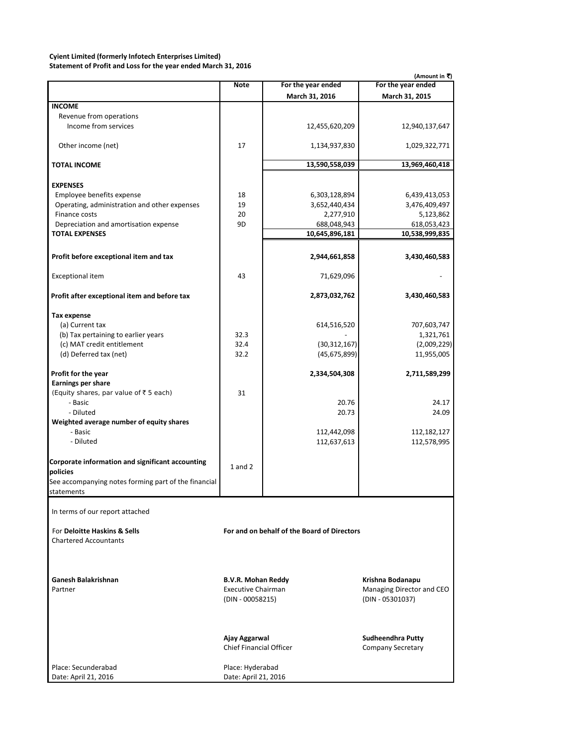# **Cyient Limited (formerly Infotech Enterprises Limited) Statement of Profit and Loss for the year ended March 31, 2016**

|                                                                    |             |                    | (Amount in ₹)      |
|--------------------------------------------------------------------|-------------|--------------------|--------------------|
|                                                                    | <b>Note</b> | For the year ended | For the year ended |
|                                                                    |             | March 31, 2016     | March 31, 2015     |
| <b>INCOME</b>                                                      |             |                    |                    |
| Revenue from operations                                            |             |                    |                    |
| Income from services                                               |             | 12,455,620,209     | 12,940,137,647     |
| Other income (net)                                                 | 17          | 1,134,937,830      | 1,029,322,771      |
| <b>TOTAL INCOME</b>                                                |             | 13,590,558,039     | 13,969,460,418     |
| <b>EXPENSES</b>                                                    |             |                    |                    |
| Employee benefits expense                                          | 18          | 6,303,128,894      | 6,439,413,053      |
| Operating, administration and other expenses                       | 19          | 3,652,440,434      | 3,476,409,497      |
| Finance costs                                                      | 20          | 2,277,910          | 5,123,862          |
| Depreciation and amortisation expense                              | 9D          | 688,048,943        | 618,053,423        |
| <b>TOTAL EXPENSES</b>                                              |             | 10,645,896,181     | 10,538,999,835     |
|                                                                    |             |                    |                    |
|                                                                    |             |                    |                    |
| Profit before exceptional item and tax                             |             | 2,944,661,858      | 3,430,460,583      |
| <b>Exceptional item</b>                                            | 43          | 71,629,096         |                    |
| Profit after exceptional item and before tax                       |             | 2,873,032,762      | 3,430,460,583      |
| <b>Tax expense</b>                                                 |             |                    |                    |
| (a) Current tax                                                    |             | 614,516,520        | 707,603,747        |
| (b) Tax pertaining to earlier years                                | 32.3        |                    | 1,321,761          |
| (c) MAT credit entitlement                                         | 32.4        | (30, 312, 167)     | (2,009,229)        |
| (d) Deferred tax (net)                                             | 32.2        | (45, 675, 899)     | 11,955,005         |
| Profit for the year                                                |             | 2,334,504,308      | 2,711,589,299      |
| <b>Earnings per share</b>                                          |             |                    |                    |
| (Equity shares, par value of ₹ 5 each)                             | 31          |                    |                    |
| - Basic                                                            |             | 20.76              | 24.17              |
| - Diluted                                                          |             | 20.73              | 24.09              |
| Weighted average number of equity shares                           |             |                    |                    |
| - Basic                                                            |             | 112,442,098        | 112,182,127        |
| - Diluted                                                          |             | 112,637,613        | 112,578,995        |
| Corporate information and significant accounting<br>policies       | $1$ and $2$ |                    |                    |
| See accompanying notes forming part of the financial<br>statements |             |                    |                    |
| In terms of our report attached                                    |             |                    |                    |

terms of our report attached

 For **Deloitte Haskins & Sells** Chartered Accountants

**Ganesh Balakrishnan B.V.R. Mohan Reddy Krishna Bodanapu**

**For and on behalf of the Board of Directors**

(DIN - 00058215) (DIN - 05301037)

Partner **Executive Chairman** Managing Director and CEO

**Ajay Aggarwal Sudheendhra Putty**

Place: Secunderabad Place: Hyderabad Date: April 21, 2016 Date: April 21, 2016

Company Secretary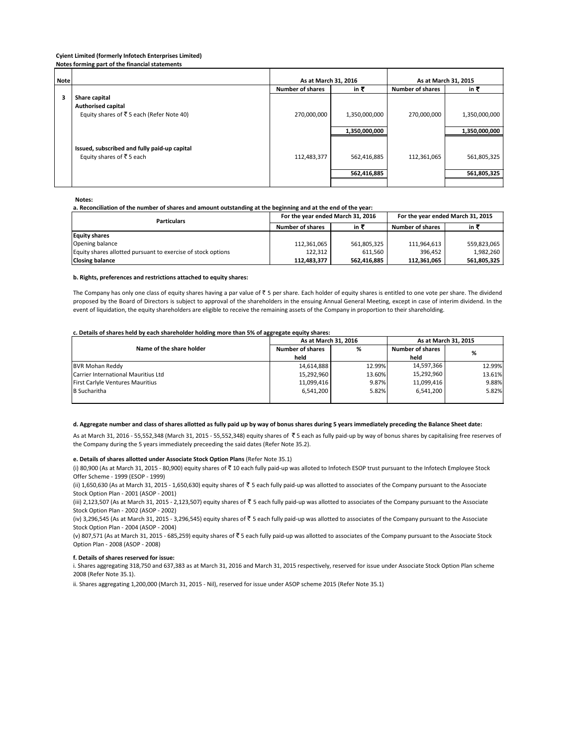| <b>Note</b> |                                                                          | As at March 31, 2016    |               | As at March 31, 2015    |               |  |  |
|-------------|--------------------------------------------------------------------------|-------------------------|---------------|-------------------------|---------------|--|--|
|             |                                                                          | <b>Number of shares</b> | in ₹          | <b>Number of shares</b> | in ₹          |  |  |
| 3           | Share capital                                                            |                         |               |                         |               |  |  |
|             | <b>Authorised capital</b>                                                |                         |               |                         |               |  |  |
|             | Equity shares of ₹5 each (Refer Note 40)                                 | 270,000,000             | 1,350,000,000 | 270,000,000             | 1,350,000,000 |  |  |
|             |                                                                          |                         | 1,350,000,000 |                         | 1,350,000,000 |  |  |
|             | Issued, subscribed and fully paid-up capital<br>Equity shares of ₹5 each | 112,483,377             | 562,416,885   | 112,361,065             | 561,805,325   |  |  |
|             |                                                                          |                         | 562,416,885   |                         | 561,805,325   |  |  |
|             |                                                                          |                         |               |                         |               |  |  |

**Notes:**

## **a. Reconciliation of the number of shares and amount outstanding at the beginning and at the end of the year:**

| <b>Particulars</b>                                           | For the year ended March 31, 2016 |             | For the year ended March 31, 2015 |             |  |
|--------------------------------------------------------------|-----------------------------------|-------------|-----------------------------------|-------------|--|
|                                                              | <b>Number of shares</b>           | in ₹        | <b>Number of shares</b>           | in ₹        |  |
| <b>Equity shares</b>                                         |                                   |             |                                   |             |  |
| Opening balance                                              | 112,361,065                       | 561,805,325 | 111,964,613                       | 559,823,065 |  |
| Equity shares allotted pursuant to exercise of stock options | 122,312                           | 611.560     | 396.452                           | 1,982,260   |  |
| <b>Closing balance</b>                                       | 112,483,377                       | 562,416,885 | 112,361,065                       | 561,805,325 |  |

#### **b. Rights, preferences and restrictions attached to equity shares:**

The Company has only one class of equity shares having a par value of ₹ 5 per share. Each holder of equity shares is entitled to one vote per share. The dividend proposed by the Board of Directors is subject to approval of the shareholders in the ensuing Annual General Meeting, except in case of interim dividend. In the event of liquidation, the equity shareholders are eligible to receive the remaining assets of the Company in proportion to their shareholding.

#### **c. Details of shares held by each shareholder holding more than 5% of aggregate equity shares:**

|                                         | As at March 31, 2016         |        | As at March 31, 2015    |        |  |
|-----------------------------------------|------------------------------|--------|-------------------------|--------|--|
| Name of the share holder                | %<br><b>Number of shares</b> |        | <b>Number of shares</b> | %      |  |
|                                         | held                         |        | held                    |        |  |
| <b>BVR Mohan Reddy</b>                  | 14.614.888                   | 12.99% | 14,597,366              | 12.99% |  |
| Carrier International Mauritius Ltd     | 15,292,960                   | 13.60% | 15.292.960              | 13.61% |  |
| <b>First Carlyle Ventures Mauritius</b> | 11,099,416                   | 9.87%  | 11,099,416              | 9.88%  |  |
| <b>B</b> Sucharitha                     | 6.541.200                    | 5.82%  | 6.541.200               | 5.82%  |  |
|                                         |                              |        |                         |        |  |

## **d. Aggregate number and class of shares allotted as fully paid up by way of bonus shares during 5 years immediately preceding the Balance Sheet date:**

As at March 31, 2016 - 55,552,348 (March 31, 2015 - 55,552,348) equity shares of ₹5 each as fully paid-up by way of bonus shares by capitalising free reserves of the Company during the 5 years immediately preceeding the said dates (Refer Note 35.2).

#### **e. Details of shares allotted under Associate Stock Option Plans** (Refer Note 35.1)

(i) 80,900 (As at March 31, 2015 - 80,900) equity shares of ₹10 each fully paid-up was alloted to Infotech ESOP trust pursuant to the Infotech Employee Stock Offer Scheme - 1999 (ESOP - 1999)

(ii) 1,650,630 (As at March 31, 2015 - 1,650,630) equity shares of ₹ 5 each fully paid-up was allotted to associates of the Company pursuant to the Associate Stock Option Plan - 2001 (ASOP - 2001)

(iii) 2,123,507 (As at March 31, 2015 - 2,123,507) equity shares of ₹ 5 each fully paid-up was allotted to associates of the Company pursuant to the Associate Stock Option Plan - 2002 (ASOP - 2002)

(iv) 3,296,545 (As at March 31, 2015 - 3,296,545) equity shares of ₹ 5 each fully paid-up was allotted to associates of the Company pursuant to the Associate Stock Option Plan - 2004 (ASOP - 2004)

(v) 807,571 (As at March 31, 2015 - 685,259) equity shares of  $\xi$  5 each fully paid-up was allotted to associates of the Company pursuant to the Associate Stock Option Plan - 2008 (ASOP - 2008)

#### **f. Details of shares reserved for issue:**

i. Shares aggregating 318,750 and 637,383 as at March 31, 2016 and March 31, 2015 respectively, reserved for issue under Associate Stock Option Plan scheme 2008 (Refer Note 35.1).

ii. Shares aggregating 1,200,000 (March 31, 2015 - Nil), reserved for issue under ASOP scheme 2015 (Refer Note 35.1)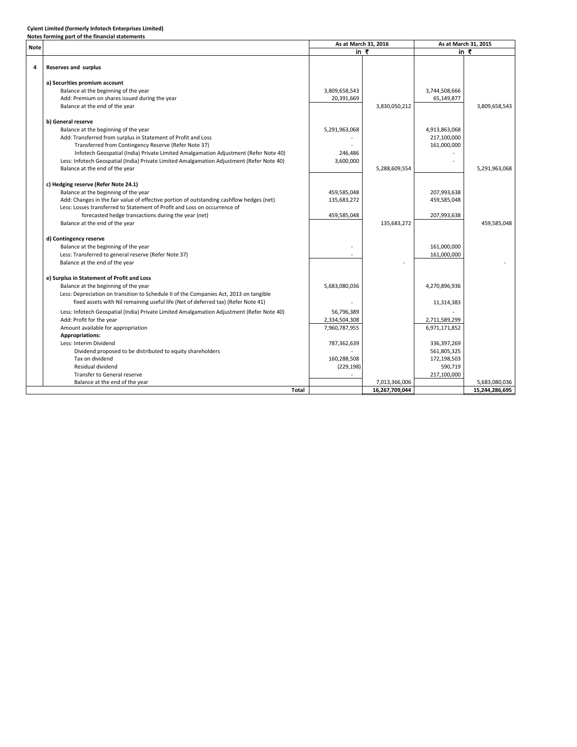**Cyient Limited (formerly Infotech Enterprises Limited)**

|             | Notes forming part of the financial statements                                            |                      |                |               |                      |  |  |  |  |  |
|-------------|-------------------------------------------------------------------------------------------|----------------------|----------------|---------------|----------------------|--|--|--|--|--|
| <b>Note</b> |                                                                                           | As at March 31, 2016 |                |               | As at March 31, 2015 |  |  |  |  |  |
|             |                                                                                           | in ₹                 |                | in ₹          |                      |  |  |  |  |  |
| 4           | Reserves and surplus                                                                      |                      |                |               |                      |  |  |  |  |  |
|             |                                                                                           |                      |                |               |                      |  |  |  |  |  |
|             | a) Securities premium account                                                             |                      |                |               |                      |  |  |  |  |  |
|             | Balance at the beginning of the year                                                      | 3,809,658,543        |                | 3,744,508,666 |                      |  |  |  |  |  |
|             | Add: Premium on shares issued during the year                                             | 20,391,669           |                | 65,149,877    |                      |  |  |  |  |  |
|             | Balance at the end of the year                                                            |                      | 3,830,050,212  |               | 3,809,658,543        |  |  |  |  |  |
|             | b) General reserve                                                                        |                      |                |               |                      |  |  |  |  |  |
|             | Balance at the beginning of the year                                                      | 5,291,963,068        |                | 4,913,863,068 |                      |  |  |  |  |  |
|             | Add: Transferred from surplus in Statement of Profit and Loss                             |                      |                | 217,100,000   |                      |  |  |  |  |  |
|             | Transferred from Contingency Reserve (Refer Note 37)                                      |                      |                | 161,000,000   |                      |  |  |  |  |  |
|             | Infotech Geospatial (India) Private Limited Amalgamation Adjustment (Refer Note 40)       | 246,486              |                |               |                      |  |  |  |  |  |
|             | Less: Infotech Geospatial (India) Private Limited Amalgamation Adjustment (Refer Note 40) | 3,600,000            |                |               |                      |  |  |  |  |  |
|             | Balance at the end of the year                                                            |                      | 5,288,609,554  |               | 5,291,963,068        |  |  |  |  |  |
|             |                                                                                           |                      |                |               |                      |  |  |  |  |  |
|             | c) Hedging reserve (Refer Note 24.1)                                                      |                      |                |               |                      |  |  |  |  |  |
|             | Balance at the beginning of the year                                                      | 459,585,048          |                | 207,993,638   |                      |  |  |  |  |  |
|             | Add: Changes in the fair value of effective portion of outstanding cashflow hedges (net)  | 135,683,272          |                | 459,585,048   |                      |  |  |  |  |  |
|             | Less: Losses transferred to Statement of Profit and Loss on occurrence of                 |                      |                |               |                      |  |  |  |  |  |
|             | forecasted hedge transactions during the year (net)                                       | 459,585,048          |                | 207,993,638   |                      |  |  |  |  |  |
|             | Balance at the end of the year                                                            |                      | 135,683,272    |               | 459,585,048          |  |  |  |  |  |
|             | d) Contingency reserve                                                                    |                      |                |               |                      |  |  |  |  |  |
|             | Balance at the beginning of the year                                                      |                      |                | 161,000,000   |                      |  |  |  |  |  |
|             | Less: Transferred to general reserve (Refer Note 37)                                      |                      |                | 161,000,000   |                      |  |  |  |  |  |
|             | Balance at the end of the year                                                            |                      |                |               |                      |  |  |  |  |  |
|             |                                                                                           |                      |                |               |                      |  |  |  |  |  |
|             | e) Surplus in Statement of Profit and Loss                                                |                      |                | 4,270,896,936 |                      |  |  |  |  |  |
|             | Balance at the beginning of the year                                                      | 5,683,080,036        |                |               |                      |  |  |  |  |  |
|             | Less: Depreciation on transition to Schedule II of the Companies Act, 2013 on tangible    |                      |                |               |                      |  |  |  |  |  |
|             | fixed assets with Nil remaining useful life (Net of deferred tax) (Refer Note 41)         |                      |                | 11,314,383    |                      |  |  |  |  |  |
|             | Less: Infotech Geospatial (India) Private Limited Amalgamation Adjustment (Refer Note 40) | 56,796,389           |                |               |                      |  |  |  |  |  |
|             | Add: Profit for the year                                                                  | 2,334,504,308        |                | 2,711,589,299 |                      |  |  |  |  |  |
|             | Amount available for appropriation                                                        | 7,960,787,955        |                | 6,971,171,852 |                      |  |  |  |  |  |
|             | Appropriations:                                                                           |                      |                |               |                      |  |  |  |  |  |
|             | Less: Interim Dividend                                                                    | 787,362,639          |                | 336,397,269   |                      |  |  |  |  |  |
|             | Dividend proposed to be distributed to equity shareholders                                |                      |                | 561,805,325   |                      |  |  |  |  |  |
|             | Tax on dividend                                                                           | 160,288,508          |                | 172,198,503   |                      |  |  |  |  |  |
|             | Residual dividend                                                                         | (229, 198)           |                | 590,719       |                      |  |  |  |  |  |
|             | Transfer to General reserve                                                               |                      |                | 217,100,000   |                      |  |  |  |  |  |
|             | Balance at the end of the year                                                            |                      | 7,013,366,006  |               | 5,683,080,036        |  |  |  |  |  |
|             | Total                                                                                     |                      | 16,267,709,044 |               | 15,244,286,695       |  |  |  |  |  |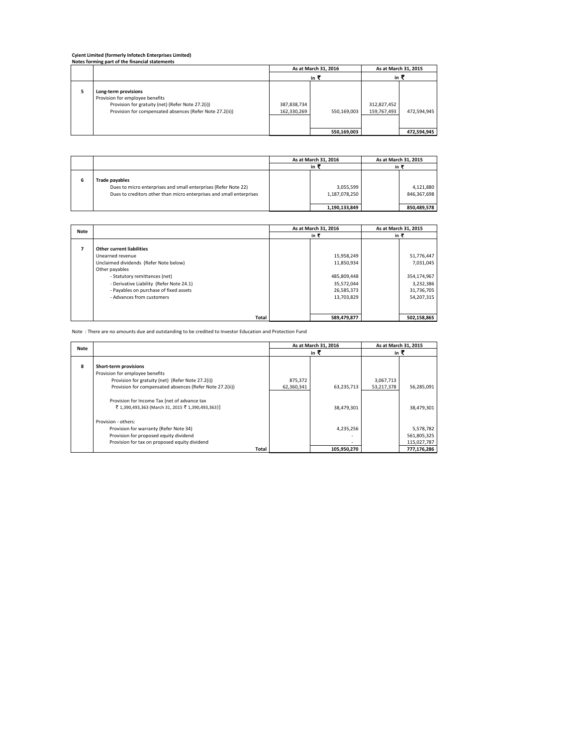|   | Notes forming part of the miancial statements                                                                                                                            |                            | As at March 31, 2016       | As at March 31, 2015       |                            |  |
|---|--------------------------------------------------------------------------------------------------------------------------------------------------------------------------|----------------------------|----------------------------|----------------------------|----------------------------|--|
|   |                                                                                                                                                                          |                            | in ₹                       | in₹                        |                            |  |
| 5 | Long-term provisions<br>Provision for employee benefits<br>Provision for gratuity (net) (Refer Note 27.2(i))<br>Provision for compensated absences (Refer Note 27.2(ii)) | 387,838,734<br>162,330,269 | 550,169,003<br>550.169.003 | 312,827,452<br>159,767,493 | 472,594,945<br>472,594,945 |  |

|   |                                                                                                                                                           | As at March 31, 2016       | As at March 31, 2015     |
|---|-----------------------------------------------------------------------------------------------------------------------------------------------------------|----------------------------|--------------------------|
|   |                                                                                                                                                           | in i                       | in i                     |
| 6 | Trade payables<br>Dues to micro enterprises and small enterprises (Refer Note 22)<br>Dues to creditors other than micro enterprises and small enterprises | 3,055,599<br>1,187,078,250 | 4,121,880<br>846,367,698 |
|   |                                                                                                                                                           | 1,190,133,849              | 850,489,578              |

| Note |                                                                                                                                                                                                                                                               | As at March 31, 2016                                                              | As at March 31, 2015                                                            |  |
|------|---------------------------------------------------------------------------------------------------------------------------------------------------------------------------------------------------------------------------------------------------------------|-----------------------------------------------------------------------------------|---------------------------------------------------------------------------------|--|
|      |                                                                                                                                                                                                                                                               | in₹                                                                               | in₹                                                                             |  |
|      | Other current liabilities<br>Unearned revenue<br>Unclaimed dividends (Refer Note below)<br>Other payables<br>- Statutory remittances (net)<br>- Derivative Liability (Refer Note 24.1)<br>- Payables on purchase of fixed assets<br>- Advances from customers | 15,958,249<br>11,850,934<br>485,809,448<br>35,572,044<br>26,585,373<br>13,703,829 | 51,776,447<br>7,031,045<br>354,174,967<br>3,232,386<br>31,736,705<br>54,207,315 |  |
|      | <b>Total</b>                                                                                                                                                                                                                                                  | 589.479.877                                                                       | 502,158,865                                                                     |  |

Note : There are no amounts due and outstanding to be credited to Investor Education and Protection Fund

| Note |                                                          |            | As at March 31, 2016 | As at March 31, 2015 |             |  |
|------|----------------------------------------------------------|------------|----------------------|----------------------|-------------|--|
|      |                                                          |            | in ₹                 | in₹                  |             |  |
|      |                                                          |            |                      |                      |             |  |
| 8    | Short-term provisions                                    |            |                      |                      |             |  |
|      | Provision for employee benefits                          |            |                      |                      |             |  |
|      | Provision for gratuity (net) (Refer Note 27.2(i))        | 875,372    |                      | 3,067,713            |             |  |
|      | Provision for compensated absences (Refer Note 27.2(ii)) | 62,360,341 | 63,235,713           | 53,217,378           | 56,285,091  |  |
|      | Provision for Income Tax [net of advance tax             |            |                      |                      |             |  |
|      | ₹ 1,390,493,363 (March 31, 2015 ₹ 1,390,493,363)]        |            | 38,479,301           |                      | 38,479,301  |  |
|      | Provision - others:                                      |            |                      |                      |             |  |
|      | Provision for warranty (Refer Note 34)                   |            | 4,235,256            |                      | 5,578,782   |  |
|      | Provision for proposed equity dividend                   |            |                      |                      | 561,805,325 |  |
|      | Provision for tax on proposed equity dividend            |            |                      |                      | 115,027,787 |  |
|      | Total                                                    |            | 105,950,270          |                      | 777,176,286 |  |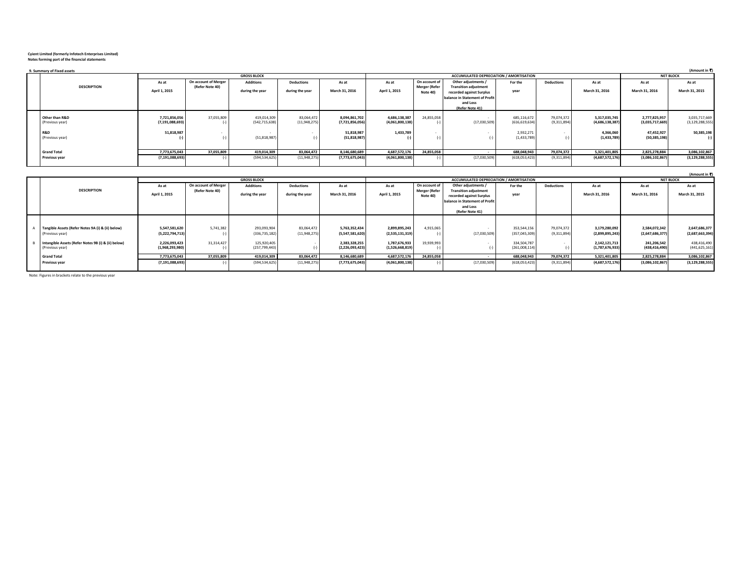| (Amount in ₹)<br>9. Summary of Fixed assets |                                     |                      |                                |                            |                                  |                                  |                                         |                                |                                |                           |                                  |                                  |                                     |
|---------------------------------------------|-------------------------------------|----------------------|--------------------------------|----------------------------|----------------------------------|----------------------------------|-----------------------------------------|--------------------------------|--------------------------------|---------------------------|----------------------------------|----------------------------------|-------------------------------------|
|                                             | <b>GROSS BLOCK</b>                  |                      |                                |                            |                                  |                                  | ACCUMULATED DEPRECIATION / AMORTISATION |                                |                                |                           | <b>NET BLOCK</b>                 |                                  |                                     |
|                                             | As at                               | On account of Merger | <b>Additions</b>               | <b>Deductions</b>          | As at                            | As at                            | On account of                           | Other adjustments /            | For the                        | <b>Deductions</b>         | As at                            | As at                            | As at                               |
| <b>DESCRIPTION</b>                          |                                     | (Refer Note 40)      |                                |                            |                                  |                                  | <b>Merger (Refer</b>                    | <b>Transition adjustment</b>   |                                |                           |                                  |                                  |                                     |
|                                             | April 1, 2015                       |                      | during the year                | during the year            | March 31, 2016                   | April 1, 2015                    | Note 40)                                | recorded against Surplus       | year                           |                           | March 31, 2016                   | March 31, 2016                   | March 31, 2015                      |
|                                             |                                     |                      |                                |                            |                                  |                                  |                                         | balance in Statement of Profit |                                |                           |                                  |                                  |                                     |
|                                             |                                     |                      |                                |                            |                                  |                                  |                                         | and Loss                       |                                |                           |                                  |                                  |                                     |
|                                             |                                     |                      |                                |                            |                                  |                                  |                                         | (Refer Note 41)                |                                |                           |                                  |                                  |                                     |
|                                             |                                     |                      |                                |                            |                                  |                                  |                                         |                                |                                |                           |                                  |                                  |                                     |
| Other than R&D<br>(Previous year)           | 7,721,856,056<br>(7, 191, 088, 693) | 37,055,809           | 419,014,309<br>(542, 715, 638) | 83,064,472<br>(11,948,275) | 8,094,861,702<br>(7,721,856,056) | 4,686,138,387<br>(4,061,800,138) | 24,855,058                              | (17,030,509)                   | 685,116,672<br>(616, 619, 634) | 79,074,372<br>(9,311,894) | 5,317,035,745<br>(4,686,138,387) | 2,777,825,957<br>(3,035,717,669) | 3,035,717,669<br>(3, 129, 288, 555) |
|                                             |                                     |                      |                                |                            |                                  |                                  |                                         |                                |                                |                           |                                  |                                  |                                     |
| <b>R&amp;D</b>                              | 51,818,987                          |                      |                                |                            | 51,818,987                       | 1,433,789                        |                                         |                                | 2,932,271                      | . .                       | 4,366,060                        | 47,452,927                       | 50,385,198                          |
| (Previous year)                             |                                     |                      | (51, 818, 987)                 |                            | (51, 818, 987)                   |                                  |                                         |                                | (1,433,789)                    |                           | (1, 433, 789)                    | (50, 385, 198)                   |                                     |
|                                             |                                     |                      |                                |                            |                                  |                                  |                                         |                                |                                |                           |                                  |                                  |                                     |
|                                             |                                     |                      |                                |                            |                                  |                                  |                                         |                                |                                |                           |                                  |                                  |                                     |
| <b>Grand Total</b>                          | 7,773,675,043                       | 37,055,809           | 419,014,309                    | 83,064,472                 | 8,146,680,689                    | 4,687,572,176                    | 24,855,058                              |                                | 688,048,943                    | 79,074,372                | 5,321,401,805                    | 2,825,278,884                    | 3,086,102,867                       |
| Previous year                               | (7, 191, 088, 693)                  |                      | (594, 534, 625)                | (11,948,275)               | (7,773,675,043)                  | (4,061,800,138)                  |                                         | (17,030,509)                   | (618,053,423)                  | (9,311,894)               | (4,687,572,176)                  | (3,086,102,867)                  | (3, 129, 288, 555)                  |
|                                             |                                     |                      |                                |                            |                                  |                                  |                                         |                                |                                |                           |                                  |                                  |                                     |

|                                                                        |                                  |                      |                                |                   |                                  |                                  |                                         |                                                          |                              |                   |                                  |                                | (Amount in T)                  |
|------------------------------------------------------------------------|----------------------------------|----------------------|--------------------------------|-------------------|----------------------------------|----------------------------------|-----------------------------------------|----------------------------------------------------------|------------------------------|-------------------|----------------------------------|--------------------------------|--------------------------------|
|                                                                        |                                  |                      | <b>GROSS BLOCK</b>             |                   |                                  |                                  |                                         | ACCUMULATED DEPRECIATION / AMORTISATION                  |                              |                   |                                  | <b>NET BLOCK</b>               |                                |
|                                                                        | As at                            | On account of Merger | <b>Additions</b>               | <b>Deductions</b> | As at                            | As at                            | On account of                           | Other adjustments /                                      | For the                      | <b>Deductions</b> | As at                            | As at                          | As at                          |
| <b>DESCRIPTION</b>                                                     | April 1, 2015                    | (Refer Note 40)      | during the year                | during the year   | March 31, 2016                   | April 1, 2015                    | <b>Merger (Refer</b><br><b>Note 40)</b> | <b>Transition adjustment</b><br>recorded against Surplus | vear                         |                   | March 31, 2016                   | March 31, 2016                 | March 31, 2015                 |
|                                                                        |                                  |                      |                                |                   |                                  |                                  |                                         | balance in Statement of Profit                           |                              |                   |                                  |                                |                                |
|                                                                        |                                  |                      |                                |                   |                                  |                                  |                                         | and Loss                                                 |                              |                   |                                  |                                |                                |
|                                                                        |                                  |                      |                                |                   |                                  |                                  |                                         | (Refer Note 41)                                          |                              |                   |                                  |                                |                                |
|                                                                        |                                  |                      |                                |                   |                                  |                                  |                                         |                                                          |                              |                   |                                  |                                |                                |
| Tangible Assets (Refer Notes 9A (i) & (ii) below)                      | 5,547,581,620                    | 5.741.382            | 293,093,904                    | 83,064,472        | 5,763,352,434                    | 2,899,895,243                    | 4,915,065                               |                                                          | 353,544,156                  | 79,074,372        | 3,179,280,092                    | 2,584,072,342                  | 2,647,686,377                  |
| (Previous year)                                                        | (5,222,794,713)                  |                      | (336, 735, 182)                | (11,948,275)      | (5,547,581,620)                  | (2,535,131,319)                  |                                         | (17,030,509)                                             | (357,045,309)                | (9,311,894)       | (2,899,895,243)                  | (2,647,686,377)                | (2,687,663,394)                |
|                                                                        |                                  |                      |                                |                   |                                  |                                  |                                         |                                                          |                              |                   |                                  |                                |                                |
| Intangible Assets (Refer Notes 9B (i) & (ii) below)<br>(Previous year) | 2,226,093,423<br>(1,968,293,980) | 31.314.427           | 125,920,405<br>(257, 799, 443) |                   | 2,383,328,255<br>(2,226,093,423) | 1,787,676,933<br>(1,526,668,819) | 19,939,993                              |                                                          | 334,504,787<br>(261,008,114) | . .               | 2,142,121,713<br>(1,787,676,933) | 241,206,542<br>(438, 416, 490) | 438,416,490<br>(441, 625, 161) |
|                                                                        |                                  |                      |                                |                   |                                  |                                  |                                         |                                                          |                              |                   |                                  |                                |                                |
| <b>Grand Total</b>                                                     | 7,773,675,043                    | 37,055,809           | 419,014,309                    | 83,064,472        | 8,146,680,689                    | 4,687,572,176                    | 24,855,058                              |                                                          | 688,048,943                  | 79,074,372        | 5,321,401,805                    | 2,825,278,884                  | 3,086,102,867                  |
| Previous year                                                          | (7, 191, 088, 693)               |                      | (594, 534, 625)                | (11,948,275)      | (7,773,675,043)                  | (4,061,800,138)                  |                                         | (17,030,509)                                             | (618,053,423)                | (9,311,894)       | (4,687,572,176)                  | (3,086,102,867)                | (3, 129, 288, 555)             |
|                                                                        |                                  |                      |                                |                   |                                  |                                  |                                         |                                                          |                              |                   |                                  |                                |                                |

Note: Figures in brackets relate to the previous year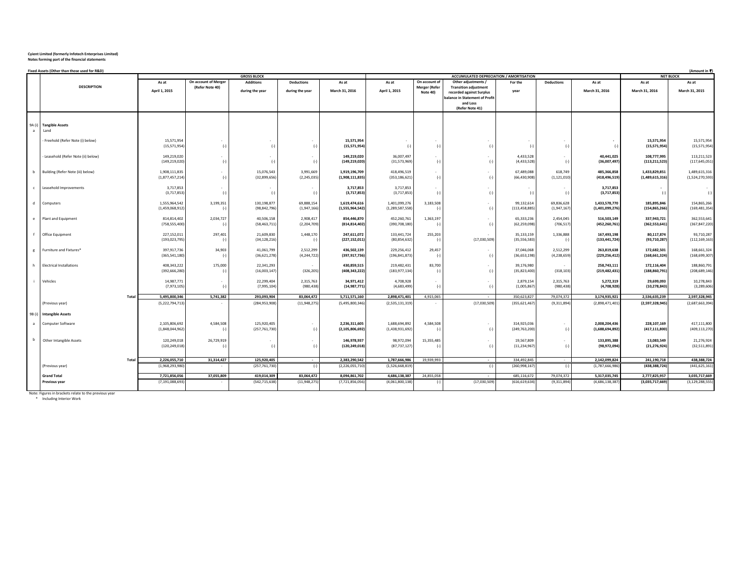|                | Fixed Assets (Other than those used for R&D) |                                |                                 |                              |                          |                                |                                |                      |                                                                |                              |                   |                                |                                | (Amount in $\vec{\tau}$ )      |
|----------------|----------------------------------------------|--------------------------------|---------------------------------|------------------------------|--------------------------|--------------------------------|--------------------------------|----------------------|----------------------------------------------------------------|------------------------------|-------------------|--------------------------------|--------------------------------|--------------------------------|
|                |                                              |                                | On account of Merger            | <b>GROSS BLOCK</b>           |                          |                                |                                | On account of        | ACCUMULATED DEPRECIATION / AMORTISATION<br>Other adjustments / |                              |                   |                                |                                | <b>NET BLOCK</b>               |
|                | <b>DESCRIPTION</b>                           | As at                          | (Refer Note 40)                 | <b>Additions</b>             | <b>Deductions</b>        | As at                          | As at                          | <b>Merger (Refer</b> | <b>Transition adjustment</b>                                   | For the                      | <b>Deductions</b> | As at                          | As at                          | As at                          |
|                |                                              | April 1, 2015                  |                                 | during the year              | during the year          | March 31, 2016                 | April 1, 2015                  | Note 40)             | recorded against Surplus                                       | year                         |                   | March 31, 2016                 | March 31, 2016                 | March 31, 2015                 |
|                |                                              |                                |                                 |                              |                          |                                |                                |                      | balance in Statement of Profit<br>and Loss<br>(Refer Note 41)  |                              |                   |                                |                                |                                |
|                |                                              |                                |                                 |                              |                          |                                |                                |                      |                                                                |                              |                   |                                |                                |                                |
|                | 9A (i) Tangible Assets                       |                                |                                 |                              |                          |                                |                                |                      |                                                                |                              |                   |                                |                                |                                |
| $\overline{a}$ | Land                                         |                                |                                 |                              |                          |                                |                                |                      |                                                                |                              |                   |                                |                                |                                |
|                |                                              |                                |                                 |                              |                          |                                |                                |                      |                                                                |                              |                   |                                |                                |                                |
|                | - Freehold (Refer Note (i) below)            | 15,571,954                     |                                 |                              |                          | 15,571,954                     |                                |                      |                                                                |                              |                   |                                | 15,571,954                     | 15,571,954                     |
|                |                                              | (15,571,954)                   | $(-)$                           | $(-)$                        | $(-)$                    | (15, 571, 954)                 | $(-)$                          | $(-)$                | $(-)$                                                          | $(-)$                        | $(-)$             | $(-)$                          | (15, 571, 954)                 | (15, 571, 954)                 |
|                | - Leasehold (Refer Note (ii) below)          | 149,219,020                    |                                 |                              |                          | 149,219,020                    | 36,007,497                     |                      |                                                                | 4,433,528                    |                   | 40,441,025                     | 108,777,995                    | 113,211,523                    |
|                |                                              | (149, 219, 020)                | $(\textnormal{-})$              | $(-)$                        | $(\cdot)$                | (149, 219, 020)                | (31,573,969)                   | $(-)$                | $(\cdot)$                                                      | (4, 433, 528)                | $(-)$             | (36,007,497)                   | (113, 211, 523)                | (117, 645, 051)                |
|                |                                              | 1,908,111,835                  |                                 |                              | 3,991,669                | 1,919,196,709                  | 418,496,519                    |                      |                                                                | 67,489,088                   | 618,749           | 485,366,858                    | 1,433,829,851                  | 1,489,615,316                  |
|                | b Building (Refer Note (iii) below)          | (1,877,457,214)                | $(\cdot)$                       | 15,076,543<br>(32, 899, 656) | (2, 245, 035)            | (1,908, 111, 835)              | (353, 186, 621)                | $(-)$                | $(\cdot)$                                                      | (66, 430, 908)               | (1, 121, 010)     | (418, 496, 519)                | (1,489,615,316)                | (1,524,270,593)                |
|                |                                              |                                |                                 |                              |                          |                                |                                |                      |                                                                |                              |                   |                                |                                |                                |
|                | c Leasehold Improvements                     | 3,717,853                      |                                 |                              | $\overline{\phantom{a}}$ | 3,717,853                      | 3,717,853                      | $\sim$               |                                                                |                              |                   | 3,717,853                      | $\overline{\phantom{a}}$       |                                |
|                |                                              | (3,717,853)                    | $(-)$                           | $(-)$                        | $(-)$                    | (3,717,853)                    | (3,717,853)                    | $(-)$                | $(\cdot)$                                                      | $(-)$                        | $(-)$             | (3,717,853)                    | $(-)$                          | $(-)$                          |
|                | d Computers                                  | 1,555,964,542                  | 3,199,351                       | 130,198,877                  | 69,888,154               | 1,619,474,616                  | 1,401,099,276                  | 3,183,508            |                                                                | 99,132,614                   | 69,836,628        | 1,433,578,770                  | 185,895,846                    | 154,865,266                    |
|                |                                              | (1,459,068,912)                | $\left( -\right)$               | (98, 842, 796)               | (1,947,166)              | (1,555,964,542)                | (1, 289, 587, 558)             | $(-)$                | $(\cdot)$                                                      | (113, 458, 885)              | (1,947,167)       | (1,401,099,276)                | (154, 865, 266)                | (169, 481, 354)                |
|                | e Plant and Equipment                        | 814,814,402                    | 2,034,727                       | 40,506,158                   | 2,908,417                | 854,446,870                    | 452,260,761                    | 1,363,197            | $\mathbf{r}$                                                   | 65,333,236                   | 2,454,045         | 516,503,149                    | 337,943,721                    | 362,553,641                    |
|                |                                              | (758, 555, 400)                | $(-)$                           | (58, 463, 711)               | (2,204,709)              | (814, 814, 402)                | (390, 708, 180)                | $(-)$                | $(-)$                                                          | (62, 259, 098)               | (706, 517)        | (452, 260, 761)                | (362, 553, 641)                | (367, 847, 220)                |
|                |                                              |                                |                                 |                              |                          |                                |                                |                      |                                                                |                              |                   |                                |                                |                                |
|                | f Office Equipment                           | 227,152,011                    | 297,401                         | 21,609,830                   | 1,448,170                | 247,611,072                    | 133,441,724                    | 255,203              |                                                                | 35,133,159                   | 1,336,888         | 167,493,198                    | 80,117,874                     | 93,710,287                     |
|                |                                              | (193, 023, 795)                | $(-)$                           | (34, 128, 216)               | $(-)$                    | (227, 152, 011)                | (80, 854, 632)                 | $(-)$                | (17,030,509)                                                   | (35,556,583)                 | $(-)$             | (133, 441, 724)                | (93,710,287)                   | (112, 169, 163)                |
|                | g Furniture and Fixtures*                    | 397,917,736                    | 34,903                          | 41,061,799                   | 2,512,299                | 436,502,139                    | 229,256,412                    | 29,457               |                                                                | 37,046,068                   | 2,512,299         | 263,819,638                    | 172,682,501                    | 168,661,324                    |
|                |                                              | (365, 541, 180)                | $(-)$                           | (36,621,278)                 | (4, 244, 722)            | (397, 917, 736)                | (196, 841, 873)                | $\left( -\right)$    | $(-)$                                                          | (36,653,198)                 | (4, 238, 659)     | (229, 256, 412)                | (168, 661, 324)                | (168, 699, 307)                |
|                |                                              |                                |                                 |                              |                          |                                |                                |                      |                                                                |                              |                   |                                |                                |                                |
|                | h Electrical Installations                   | 408,343,222<br>(392, 666, 280) | 175,000<br>$(-)$                | 22,341,293<br>(16,003,147)   | (326, 205)               | 430,859,515<br>(408, 343, 222) | 219,482,431<br>(183, 977, 134) | 83,700<br>$(-)$      | $(\cdot)$                                                      | 39,176,980<br>(35,823,400)   | (318, 103)        | 258,743,111<br>(219, 482, 431) | 172,116,404<br>(188, 860, 791) | 188,860,791<br>(208, 689, 146) |
|                |                                              |                                |                                 |                              |                          |                                |                                |                      |                                                                |                              |                   |                                |                                |                                |
|                | i Vehicles                                   | 14,987,771                     |                                 | 22,299,404                   | 2,315,763                | 34,971,412                     | 4,708,928                      |                      | $\sim$                                                         | 2,879,154                    | 2,315,763         | 5,272,319                      | 29,699,093                     | 10,278,843                     |
|                |                                              | (7,973,105)                    | $(-)$                           | (7,995,104)                  | (980, 438)               | (14, 987, 771)                 | (4,683,499)                    | $(-)$                | $(\cdot)$                                                      | (1,005,867)                  | (980, 438)        | (4,708,928)                    | (10, 278, 843)                 | (3, 289, 606)                  |
|                | Total                                        | 5,495,800,346                  | 5,741,382                       | 293,093,904                  | 83,064,472               | 5,711,571,160                  | 2,898,471,401                  | 4,915,065            | $\sim$                                                         | 350,623,827                  | 79,074,372        | 3,174,935,921                  | 2,536,635,239                  | 2,597,328,945                  |
|                | (Previous year)                              | (5, 222, 794, 713)             |                                 | (284, 953, 908)              | (11,948,275)             | (5,495,800,346)                | (2,535,131,319)                | $\sim$               | (17,030,509)                                                   | (355, 621, 467)              | (9,311,894)       | (2,898,471,401)                | (2,597,328,945)                | (2,687,663,394)                |
|                |                                              |                                |                                 |                              |                          |                                |                                |                      |                                                                |                              |                   |                                |                                |                                |
|                | 9B (i) Intangible Assets                     |                                |                                 |                              |                          |                                |                                |                      |                                                                |                              |                   |                                |                                |                                |
|                | a Computer Software                          | 2,105,806,692                  | 4,584,508                       | 125,920,405                  |                          | 2,236,311,605                  | 1,688,694,892                  | 4,584,508            |                                                                | 314,925,036                  |                   | 2,008,204,436                  | 228,107,169                    | 417,111,800                    |
|                |                                              | (1,848,044,962)                | $(-)$                           | (257, 761, 730)              | $(-)$                    | (2, 105, 806, 692)             | (1,438,931,692)                | $(-)$                | $(\cdot)$                                                      | (249, 763, 200)              | $(-)$             | (1,688,694,892)                | (417, 111, 800)                | (409, 113, 270)                |
|                |                                              |                                |                                 |                              |                          |                                |                                |                      |                                                                |                              |                   |                                |                                |                                |
|                | b Other Intangible Assets                    | 120,249,018<br>(120, 249, 018) | 26,729,919<br>$\left( -\right)$ | $(-)$                        | $(-)$                    | 146,978,937<br>(120, 249, 018) | 98,972,094<br>(87, 737, 127)   | 15,355,485<br>$(-)$  | $(\cdot)$                                                      | 19,567,809<br>(11, 234, 967) | $(-)$             | 133,895,388<br>(98, 972, 094)  | 13,083,549<br>(21, 276, 924)   | 21,276,924<br>(32, 511, 891)   |
|                |                                              |                                |                                 |                              |                          |                                |                                |                      |                                                                |                              |                   |                                |                                |                                |
|                | Total                                        | 2,226,055,710                  | 31,314,427                      | 125,920,405                  | $\sim$                   | 2,383,290,542                  | 1,787,666,986                  | 19,939,993           | $\sim$                                                         | 334,492,845                  | $\sim$            | 2,142,099,824                  | 241,190,718                    | 438,388,724                    |
|                | (Previous year)                              | (1,968,293,980)                | $\sim$                          | (257, 761, 730)              | $(-)$                    | (2, 226, 055, 710)             | (1,526,668,819)                |                      | $(-)$                                                          | (260,998,167)                | $(-)$             | (1,787,666,986)                | (438, 388, 724)                | (441, 625, 161)                |
|                |                                              |                                |                                 |                              |                          |                                |                                |                      |                                                                |                              |                   |                                |                                |                                |
|                | <b>Grand Total</b>                           | 7,721,856,056                  | 37,055,809                      | 419,014,309                  | 83,064,472               | 8,094,861,702                  | 4,686,138,387                  | 24,855,058           |                                                                | 685,116,672                  | 79,074,372        | 5,317,035,745                  | 2,777,825,957                  | 3,035,717,669                  |
|                | Previous year                                | (7, 191, 088, 693)             |                                 | (542, 715, 638)              | (11,948,275)             | (7, 721, 856, 056)             | (4,061,800,138)                | $(-)$                | (17,030,509)                                                   | (616, 619, 634)              | (9,311,894)       | (4,686,138,387)                | (3,035,717,669)                | (3, 129, 288, 555)             |
|                |                                              |                                |                                 |                              |                          |                                |                                |                      |                                                                |                              |                   |                                |                                |                                |

Note: Figures in brackets relate to the previous year \* Including Interior Work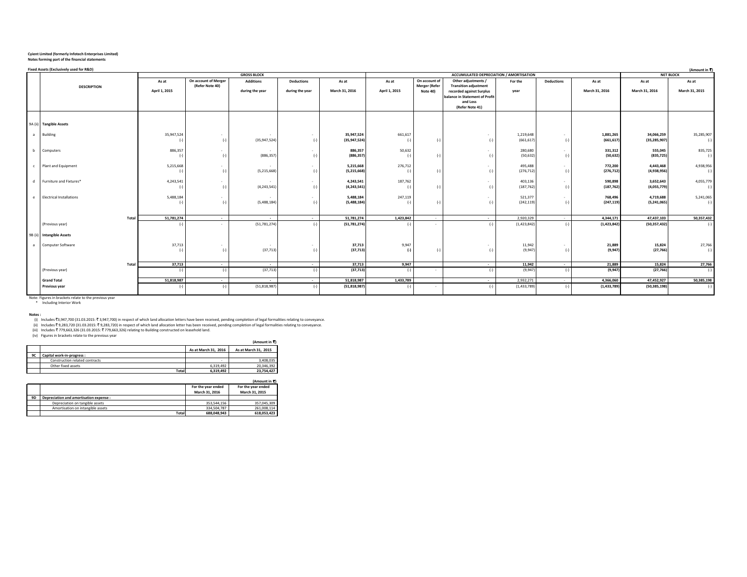| <b>DESCRIPTION</b><br>9A (ii) Tangible Assets<br>a Building<br>b Computers | As at<br>April 1, 2015<br>35,947,524<br>$\left( -\right)$<br>886,357                                                      | On account of Merger<br>(Refer Note 40)<br>$\sim$<br>$(-)$ | <b>GROSS BLOCK</b><br><b>Additions</b><br>during the year<br>(35,947,524)                                                                                                                                                                             | <b>Deductions</b><br>during the year<br>$\mathbf{r}$                                             | As at<br>March 31, 2016                                      | As at<br>April 1, 2015                                                                                                                                          | On account of<br><b>Merger (Refer</b><br>Note 40)                                                                   | ACCUMULATED DEPRECIATION / AMORTISATION<br>Other adjustments /<br><b>Transition adjustment</b><br>recorded against Surplus<br>balance in Statement of Profit<br>and Loss<br>(Refer Note 41) | For the<br>year                                                          | <b>Deductions</b>                                                                                                                              | As at<br>March 31, 2016                    | As at<br>March 31, 2016                                                                                                                                                     | <b>NET BLOCK</b><br>As at<br>March 31, 2015                                                                                                                   |
|----------------------------------------------------------------------------|---------------------------------------------------------------------------------------------------------------------------|------------------------------------------------------------|-------------------------------------------------------------------------------------------------------------------------------------------------------------------------------------------------------------------------------------------------------|--------------------------------------------------------------------------------------------------|--------------------------------------------------------------|-----------------------------------------------------------------------------------------------------------------------------------------------------------------|---------------------------------------------------------------------------------------------------------------------|---------------------------------------------------------------------------------------------------------------------------------------------------------------------------------------------|--------------------------------------------------------------------------|------------------------------------------------------------------------------------------------------------------------------------------------|--------------------------------------------|-----------------------------------------------------------------------------------------------------------------------------------------------------------------------------|---------------------------------------------------------------------------------------------------------------------------------------------------------------|
|                                                                            |                                                                                                                           |                                                            |                                                                                                                                                                                                                                                       |                                                                                                  |                                                              |                                                                                                                                                                 |                                                                                                                     |                                                                                                                                                                                             |                                                                          |                                                                                                                                                |                                            |                                                                                                                                                                             |                                                                                                                                                               |
|                                                                            |                                                                                                                           |                                                            |                                                                                                                                                                                                                                                       |                                                                                                  |                                                              |                                                                                                                                                                 |                                                                                                                     |                                                                                                                                                                                             |                                                                          |                                                                                                                                                |                                            |                                                                                                                                                                             |                                                                                                                                                               |
|                                                                            |                                                                                                                           |                                                            |                                                                                                                                                                                                                                                       |                                                                                                  |                                                              |                                                                                                                                                                 |                                                                                                                     |                                                                                                                                                                                             |                                                                          |                                                                                                                                                |                                            |                                                                                                                                                                             |                                                                                                                                                               |
|                                                                            |                                                                                                                           |                                                            |                                                                                                                                                                                                                                                       |                                                                                                  |                                                              |                                                                                                                                                                 |                                                                                                                     |                                                                                                                                                                                             |                                                                          |                                                                                                                                                |                                            |                                                                                                                                                                             |                                                                                                                                                               |
|                                                                            |                                                                                                                           |                                                            |                                                                                                                                                                                                                                                       |                                                                                                  |                                                              |                                                                                                                                                                 |                                                                                                                     |                                                                                                                                                                                             |                                                                          |                                                                                                                                                |                                            |                                                                                                                                                                             |                                                                                                                                                               |
|                                                                            |                                                                                                                           |                                                            |                                                                                                                                                                                                                                                       |                                                                                                  |                                                              |                                                                                                                                                                 |                                                                                                                     |                                                                                                                                                                                             |                                                                          |                                                                                                                                                |                                            |                                                                                                                                                                             |                                                                                                                                                               |
|                                                                            |                                                                                                                           |                                                            |                                                                                                                                                                                                                                                       |                                                                                                  |                                                              |                                                                                                                                                                 |                                                                                                                     |                                                                                                                                                                                             |                                                                          |                                                                                                                                                |                                            |                                                                                                                                                                             |                                                                                                                                                               |
|                                                                            |                                                                                                                           |                                                            |                                                                                                                                                                                                                                                       |                                                                                                  |                                                              |                                                                                                                                                                 |                                                                                                                     |                                                                                                                                                                                             |                                                                          |                                                                                                                                                |                                            |                                                                                                                                                                             |                                                                                                                                                               |
|                                                                            |                                                                                                                           |                                                            |                                                                                                                                                                                                                                                       |                                                                                                  |                                                              |                                                                                                                                                                 |                                                                                                                     |                                                                                                                                                                                             |                                                                          |                                                                                                                                                |                                            |                                                                                                                                                                             |                                                                                                                                                               |
|                                                                            |                                                                                                                           |                                                            |                                                                                                                                                                                                                                                       |                                                                                                  |                                                              |                                                                                                                                                                 |                                                                                                                     |                                                                                                                                                                                             |                                                                          |                                                                                                                                                |                                            |                                                                                                                                                                             |                                                                                                                                                               |
|                                                                            |                                                                                                                           |                                                            |                                                                                                                                                                                                                                                       |                                                                                                  | 35,947,524                                                   | 661,617                                                                                                                                                         |                                                                                                                     | $\sim$                                                                                                                                                                                      | 1,219,648                                                                | $\sim$                                                                                                                                         | 1,881,265                                  | 34,066,259                                                                                                                                                                  | 35,285,907                                                                                                                                                    |
|                                                                            |                                                                                                                           |                                                            |                                                                                                                                                                                                                                                       | $(-)$                                                                                            | (35, 947, 524)                                               | $\left( -\right)$                                                                                                                                               | $(-)$                                                                                                               | $(-)$                                                                                                                                                                                       | (661, 617)                                                               | $(-)$                                                                                                                                          | (661, 617)                                 | (35, 285, 907)                                                                                                                                                              | $(-)$                                                                                                                                                         |
|                                                                            |                                                                                                                           |                                                            |                                                                                                                                                                                                                                                       |                                                                                                  |                                                              |                                                                                                                                                                 |                                                                                                                     |                                                                                                                                                                                             |                                                                          |                                                                                                                                                |                                            |                                                                                                                                                                             |                                                                                                                                                               |
|                                                                            |                                                                                                                           | $\sim$                                                     |                                                                                                                                                                                                                                                       |                                                                                                  | 886,357                                                      | 50,632                                                                                                                                                          |                                                                                                                     | $\sim$                                                                                                                                                                                      | 280,680                                                                  |                                                                                                                                                | 331,312                                    | 555,045                                                                                                                                                                     | 835,725                                                                                                                                                       |
|                                                                            |                                                                                                                           |                                                            |                                                                                                                                                                                                                                                       |                                                                                                  |                                                              |                                                                                                                                                                 |                                                                                                                     |                                                                                                                                                                                             |                                                                          |                                                                                                                                                |                                            |                                                                                                                                                                             | $(\cdot)$                                                                                                                                                     |
| c Plant and Equipment                                                      |                                                                                                                           | $\mathbf{r}$                                               |                                                                                                                                                                                                                                                       |                                                                                                  |                                                              |                                                                                                                                                                 |                                                                                                                     | ۰.                                                                                                                                                                                          |                                                                          |                                                                                                                                                |                                            |                                                                                                                                                                             | 4,938,956                                                                                                                                                     |
|                                                                            |                                                                                                                           | $(-)$                                                      | (5, 215, 668)                                                                                                                                                                                                                                         | $(-)$                                                                                            | (5, 215, 668)                                                | $(-)$                                                                                                                                                           | $(-)$                                                                                                               | $(\cdot)$                                                                                                                                                                                   | (276, 712)                                                               | $(-)$                                                                                                                                          | (276, 712)                                 | (4,938,956)                                                                                                                                                                 | $(-)$                                                                                                                                                         |
|                                                                            |                                                                                                                           |                                                            |                                                                                                                                                                                                                                                       |                                                                                                  |                                                              |                                                                                                                                                                 |                                                                                                                     |                                                                                                                                                                                             |                                                                          |                                                                                                                                                |                                            |                                                                                                                                                                             |                                                                                                                                                               |
|                                                                            |                                                                                                                           | $\sim$                                                     |                                                                                                                                                                                                                                                       |                                                                                                  |                                                              |                                                                                                                                                                 |                                                                                                                     |                                                                                                                                                                                             |                                                                          |                                                                                                                                                |                                            |                                                                                                                                                                             | 4,055,779                                                                                                                                                     |
|                                                                            |                                                                                                                           |                                                            |                                                                                                                                                                                                                                                       |                                                                                                  |                                                              |                                                                                                                                                                 |                                                                                                                     |                                                                                                                                                                                             |                                                                          |                                                                                                                                                |                                            |                                                                                                                                                                             | $(-)$                                                                                                                                                         |
|                                                                            |                                                                                                                           | $\sim$                                                     |                                                                                                                                                                                                                                                       |                                                                                                  |                                                              |                                                                                                                                                                 |                                                                                                                     |                                                                                                                                                                                             |                                                                          |                                                                                                                                                |                                            |                                                                                                                                                                             | 5,241,065                                                                                                                                                     |
|                                                                            |                                                                                                                           |                                                            |                                                                                                                                                                                                                                                       |                                                                                                  |                                                              |                                                                                                                                                                 |                                                                                                                     |                                                                                                                                                                                             |                                                                          |                                                                                                                                                |                                            |                                                                                                                                                                             | $(\cdot)$                                                                                                                                                     |
|                                                                            |                                                                                                                           |                                                            |                                                                                                                                                                                                                                                       |                                                                                                  |                                                              |                                                                                                                                                                 |                                                                                                                     |                                                                                                                                                                                             |                                                                          |                                                                                                                                                |                                            |                                                                                                                                                                             |                                                                                                                                                               |
|                                                                            |                                                                                                                           |                                                            |                                                                                                                                                                                                                                                       |                                                                                                  |                                                              |                                                                                                                                                                 |                                                                                                                     |                                                                                                                                                                                             |                                                                          |                                                                                                                                                |                                            |                                                                                                                                                                             |                                                                                                                                                               |
|                                                                            |                                                                                                                           |                                                            |                                                                                                                                                                                                                                                       |                                                                                                  |                                                              |                                                                                                                                                                 |                                                                                                                     |                                                                                                                                                                                             |                                                                          |                                                                                                                                                |                                            |                                                                                                                                                                             | 50,357,432                                                                                                                                                    |
|                                                                            |                                                                                                                           |                                                            |                                                                                                                                                                                                                                                       |                                                                                                  |                                                              |                                                                                                                                                                 |                                                                                                                     |                                                                                                                                                                                             |                                                                          |                                                                                                                                                |                                            |                                                                                                                                                                             | $(-)$                                                                                                                                                         |
| 9B (ii) Intangible Assets                                                  |                                                                                                                           |                                                            |                                                                                                                                                                                                                                                       |                                                                                                  |                                                              |                                                                                                                                                                 |                                                                                                                     |                                                                                                                                                                                             |                                                                          |                                                                                                                                                |                                            |                                                                                                                                                                             |                                                                                                                                                               |
|                                                                            |                                                                                                                           |                                                            |                                                                                                                                                                                                                                                       |                                                                                                  |                                                              |                                                                                                                                                                 |                                                                                                                     |                                                                                                                                                                                             |                                                                          |                                                                                                                                                |                                            |                                                                                                                                                                             |                                                                                                                                                               |
|                                                                            |                                                                                                                           | $\sim$                                                     |                                                                                                                                                                                                                                                       | $\sim$                                                                                           |                                                              |                                                                                                                                                                 |                                                                                                                     | ۰                                                                                                                                                                                           |                                                                          | $\overline{\phantom{a}}$                                                                                                                       |                                            |                                                                                                                                                                             | 27,766                                                                                                                                                        |
|                                                                            |                                                                                                                           |                                                            |                                                                                                                                                                                                                                                       |                                                                                                  |                                                              |                                                                                                                                                                 |                                                                                                                     |                                                                                                                                                                                             |                                                                          |                                                                                                                                                |                                            |                                                                                                                                                                             | $(-)$                                                                                                                                                         |
|                                                                            |                                                                                                                           |                                                            |                                                                                                                                                                                                                                                       |                                                                                                  |                                                              |                                                                                                                                                                 |                                                                                                                     |                                                                                                                                                                                             |                                                                          |                                                                                                                                                |                                            |                                                                                                                                                                             |                                                                                                                                                               |
|                                                                            |                                                                                                                           |                                                            | $\sim$                                                                                                                                                                                                                                                | $\sim$                                                                                           |                                                              |                                                                                                                                                                 |                                                                                                                     | $\sim$                                                                                                                                                                                      |                                                                          | $\sim$                                                                                                                                         |                                            |                                                                                                                                                                             | 27,766                                                                                                                                                        |
|                                                                            |                                                                                                                           |                                                            |                                                                                                                                                                                                                                                       |                                                                                                  |                                                              |                                                                                                                                                                 |                                                                                                                     |                                                                                                                                                                                             |                                                                          |                                                                                                                                                |                                            |                                                                                                                                                                             | $(-)$                                                                                                                                                         |
| <b>Grand Total</b>                                                         |                                                                                                                           | $\sim$                                                     | $\sim$                                                                                                                                                                                                                                                | $\sim$                                                                                           | 51,818,987                                                   | 1,433,789                                                                                                                                                       |                                                                                                                     | $\sim$                                                                                                                                                                                      | 2,932,271                                                                | $\sim$                                                                                                                                         | 4,366,060                                  | 47,452,927                                                                                                                                                                  | 50,385,198                                                                                                                                                    |
| Previous year                                                              |                                                                                                                           | $(-)$                                                      | (51, 818, 987)                                                                                                                                                                                                                                        | $(-)$                                                                                            | (51, 818, 987)                                               | $(-)$                                                                                                                                                           |                                                                                                                     | $(-)$                                                                                                                                                                                       | (1,433,789)                                                              |                                                                                                                                                | (1, 433, 789)                              | (50, 385, 198)                                                                                                                                                              | $(-)$                                                                                                                                                         |
|                                                                            | d Furniture and Fixtures*<br><b>Electrical Installations</b><br>(Previous year)<br>a Computer Software<br>(Previous year) | Total<br>Total                                             | $(-)$<br>5,215,668<br>$\left( -\right)$<br>4,243,541<br>$(-)$<br>$\left( -\right)$<br>5,488,184<br>$(-)$<br>$(-)$<br>51,781,274<br>$\sim$<br>$(-)$<br>$\sim$<br>37,713<br>$(-)$<br>$(-)$<br>37,713<br>$\sim$<br>$(-)$<br>$(-)$<br>51,818,987<br>$(-)$ | (886, 357)<br>(4, 243, 541)<br>(5,488,184)<br>$\sim$<br>(51, 781, 274)<br>(37, 713)<br>(37, 713) | $(-)$<br>$(-)$<br>$(-)$<br>$\sim$<br>$(-)$<br>$(-)$<br>$(-)$ | (886, 357)<br>5,215,668<br>4,243,541<br>(4, 243, 541)<br>5,488,184<br>(5,488,184)<br>51,781,274<br>(51, 781, 274)<br>37,713<br>(37, 713)<br>37,713<br>(37, 713) | $\left($ -<br>276,712<br>187,762<br>$(-)$<br>247,119<br>$(-)$<br>1,423,842<br>9,947<br>$\left($ -<br>9,947<br>$(-)$ | $(-)$<br>$(-)$<br>$(-)$<br>$\sim$<br>$(-)$                                                                                                                                                  | $(-)$<br>$(\cdot)$<br>$(\cdot)$<br>$\sim$<br>$(-)$<br>$(\cdot)$<br>$(-)$ | (50, 632)<br>495,488<br>403,136<br>(187, 762)<br>521,377<br>(242, 119)<br>2,920,329<br>(1,423,842)<br>11,942<br>(9, 947)<br>11.942<br>(9, 947) | $(-)$<br>$(-)$<br>$(-)$<br>$\sim$<br>$(-)$ | (50, 632)<br>772,200<br>590,898<br>(187, 762)<br>768,496<br>(247, 119)<br>4,344,171<br>$(-)$<br>(1, 423, 842)<br>21,889<br>(9, 947)<br>21,889<br>(9, 947)<br>$(-)$<br>$(-)$ | (835, 725)<br>4,443,468<br>3,652,643<br>(4,055,779)<br>4,719,688<br>(5,241,065)<br>47,437,103<br>(50, 357, 432)<br>15,824<br>(27, 766)<br>15,824<br>(27, 766) |

Note: Figures in brackets relate to the previous year \* Including Interior Work

Notes :<br>(ii) includes ₹3,947,700 (31.03.2015: ₹ 3,947,700) in respect of which land allocation letters have been received, pending completion of legal formalities relating to conveyance.<br>(ii) includes ₹ 779,863,32( 31.03.2

|    |                                |                      | (Amount in ₹)        |
|----|--------------------------------|----------------------|----------------------|
|    |                                | As at March 31, 2016 | As at March 31, 2015 |
| 9C | Capital work-in-progress :     |                      |                      |
|    | Construction related contracts | ٠                    | 3,408,035            |
|    | Other fixed assets             | 6.319.492            | 20,346,392           |
|    | Total                          | 6,319,492            | 23,754,427           |

|           |                                         |       |                    | (Amount in T)      |
|-----------|-----------------------------------------|-------|--------------------|--------------------|
|           |                                         |       | For the year ended | For the year ended |
|           |                                         |       | March 31, 2016     | March 31, 2015     |
| <b>9D</b> | Depreciation and amortisation expense : |       |                    |                    |
|           | Depreciation on tangible assets         |       | 353.544.156        | 357,045,309        |
|           | Amortisation on intangible assets       |       | 334,504,787        | 261,008,114        |
|           |                                         | Total | 688.048.943        | 618,053,423        |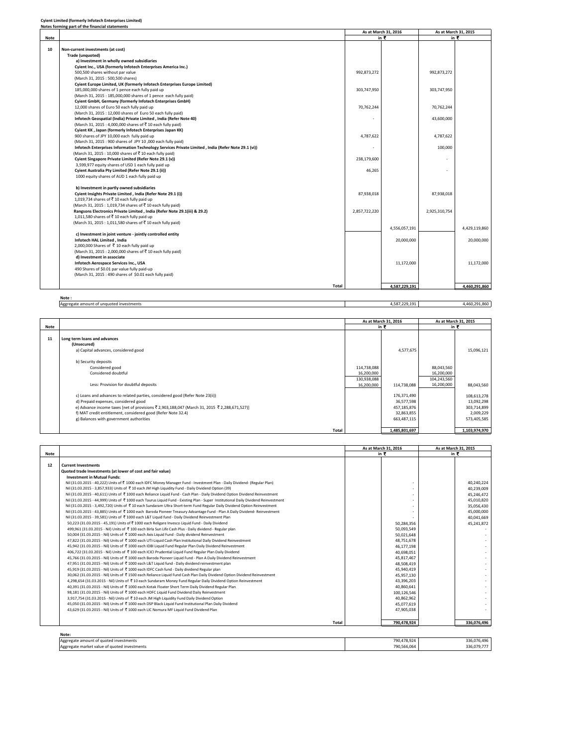**Cyient Limited (formerly Infotech Enterprises Limited)**

|             |                                                                                                    |               | As at March 31, 2016 | As at March 31, 2015 |               |
|-------------|----------------------------------------------------------------------------------------------------|---------------|----------------------|----------------------|---------------|
| <b>Note</b> |                                                                                                    |               | in₹                  | in ₹                 |               |
|             |                                                                                                    |               |                      |                      |               |
| 10          | Non-current investments (at cost)                                                                  |               |                      |                      |               |
|             | Trade (unquoted)                                                                                   |               |                      |                      |               |
|             | a) Investment in wholly owned subsidiaries                                                         |               |                      |                      |               |
|             | Cyient Inc., USA (formerly Infotech Enterprises America Inc.)                                      |               |                      |                      |               |
|             | 500,500 shares without par value                                                                   | 992,873,272   |                      | 992,873,272          |               |
|             | (March 31, 2015: 500,500 shares)                                                                   |               |                      |                      |               |
|             | Cyient Europe Limited, UK (formerly Infotech Enterprises Europe Limited)                           |               |                      |                      |               |
|             | 185,000,000 shares of 1 pence each fully paid up                                                   | 303,747,950   |                      | 303,747,950          |               |
|             | (March 31, 2015:185,000,000 shares of 1 pence each fully paid)                                     |               |                      |                      |               |
|             | Cyient GmbH, Germany (formerly Infotech Enterprises GmbH)                                          |               |                      |                      |               |
|             | 12,000 shares of Euro 50 each fully paid up                                                        | 70,762,244    |                      | 70,762,244           |               |
|             | (March 31, 2015: 12,000 shares of Euro 50 each fully paid)                                         |               |                      |                      |               |
|             | Infotech Geospatial (India) Private Limited, India (Refer Note 40)                                 |               |                      | 43,600,000           |               |
|             | (March 31, 2015 : 4,000,000 shares of ₹ 10 each fully paid)                                        |               |                      |                      |               |
|             | Cyient KK, Japan (formerly Infotech Enterprises Japan KK)                                          |               |                      |                      |               |
|             | 900 shares of JPY 10,000 each fully paid up                                                        | 4,787,622     |                      | 4,787,622            |               |
|             | (March 31, 2015 : 900 shares of JPY 10,000 each fully paid)                                        |               |                      |                      |               |
|             | Infotech Enterprises Information Technology Services Private Limited, India (Refer Note 29.1 (vi)) |               |                      | 100,000              |               |
|             | (March 31, 2015: 10,000 shares of ₹ 10 each fully paid)                                            |               |                      |                      |               |
|             | Cyient Singapore Private Limited (Refer Note 29.1 (v))                                             | 238,179,600   |                      |                      |               |
|             | 3,599,977 equity shares of USD 1 each fully paid up                                                |               |                      |                      |               |
|             | Cyient Australia Pty Limited (Refer Note 29.1 (ii))                                                | 46,265        |                      |                      |               |
|             | 1000 equity shares of AUD 1 each fully paid up                                                     |               |                      |                      |               |
|             | b) Investment in partly owned subsidiaries                                                         |               |                      |                      |               |
|             | Cyient Insights Private Limited, India (Refer Note 29.1 (i))                                       | 87,938,018    |                      | 87,938,018           |               |
|             | 1,019,734 shares of ₹10 each fully paid up                                                         |               |                      |                      |               |
|             | (March 31, 2015: 1,019,734 shares of ₹ 10 each fully paid)                                         |               |                      |                      |               |
|             | Rangsons Electronics Private Limited, India (Refer Note 29.1(iii) & 29.2)                          | 2,857,722,220 |                      | 2,925,310,754        |               |
|             | 1,011,580 shares of ₹10 each fully paid up                                                         |               |                      |                      |               |
|             | (March 31, 2015: 1,011,580 shares of ₹ 10 each fully paid)                                         |               |                      |                      |               |
|             |                                                                                                    |               | 4.556.057.191        |                      | 4.429.119.860 |
|             | c) Investment in joint venture - jointly controlled entity                                         |               |                      |                      |               |
|             | Infotech HAL Limited, India                                                                        |               | 20,000,000           |                      | 20,000,000    |
|             | 2,000,000 Shares of ₹ 10 each fully paid up                                                        |               |                      |                      |               |
|             | (March 31, 2015: 2,000,000 shares of ₹10 each fully paid)                                          |               |                      |                      |               |
|             | d) Investment in associate                                                                         |               |                      |                      |               |
|             | Infotech Aerospace Services Inc., USA                                                              |               | 11,172,000           |                      | 11,172,000    |
|             | 490 Shares of \$0.01 par value fully paid-up                                                       |               |                      |                      |               |
|             | (March 31, 2015 : 490 shares of \$0.01 each fully paid)                                            |               |                      |                      |               |
|             | Total                                                                                              |               | 4.587.229.191        |                      | 4.460.291.860 |

**Note :** Aggregate amount of unquoted investments 4,587,229,191 4,460,291,860

|      |                                                                                                                                                                                                                                                                                                                                  |                                                        | As at March 31, 2016                                                  | As at March 31, 2015                                  |                                                                      |
|------|----------------------------------------------------------------------------------------------------------------------------------------------------------------------------------------------------------------------------------------------------------------------------------------------------------------------------------|--------------------------------------------------------|-----------------------------------------------------------------------|-------------------------------------------------------|----------------------------------------------------------------------|
| Note |                                                                                                                                                                                                                                                                                                                                  |                                                        | in₹                                                                   | in ₹                                                  |                                                                      |
| 11   | Long term loans and advances<br>(Unsecured)<br>a) Capital advances, considered good                                                                                                                                                                                                                                              |                                                        | 4,577,675                                                             |                                                       | 15.096.121                                                           |
|      | b) Security deposits<br>Considered good<br>Considered doubtful<br>Less: Provision for doubtful deposits                                                                                                                                                                                                                          | 114,738,088<br>16,200,000<br>130,938,088<br>16,200,000 | 114,738,088                                                           | 88,043,560<br>16,200,000<br>104,243,560<br>16,200,000 | 88,043,560                                                           |
|      | c) Loans and advances to related parties, considered good (Refer Note 23(ii))<br>d) Prepaid expenses, considered good<br>e) Advance income taxes [net of provisions ₹ 2,903,188,047 (March 31, 2015 ₹ 2,288,671,527)]<br>f) MAT credit entitlement, considered good (Refer Note 32.4)<br>g) Balances with government authorities |                                                        | 176,371,490<br>36,577,598<br>457,185,876<br>32,863,855<br>663,487,115 |                                                       | 108,613,278<br>13,092,298<br>303,714,899<br>2,009,229<br>573,405,585 |
|      | Total                                                                                                                                                                                                                                                                                                                            |                                                        | 1,485,801,697                                                         |                                                       | 1,103,974,970                                                        |

|      |                                                                                                                                     |     | As at March 31, 2016 | As at March 31, 2015 |             |
|------|-------------------------------------------------------------------------------------------------------------------------------------|-----|----------------------|----------------------|-------------|
| Note |                                                                                                                                     | in₹ |                      | in ₹                 |             |
|      |                                                                                                                                     |     |                      |                      |             |
| 12   | <b>Current Investments</b>                                                                                                          |     |                      |                      |             |
|      | Quoted trade Investments (at lower of cost and fair value)                                                                          |     |                      |                      |             |
|      | <b>Investment in Mutual Funds:</b>                                                                                                  |     |                      |                      |             |
|      | Nil (31.03.2015 - 40,222) Units of ₹ 1000 each IDFC Money Manager Fund - Investment Plan - Daily Dividend- (Regular Plan)           |     |                      |                      | 40,240,224  |
|      | Nil (31.03.2015 - 3,857,933) Units of ₹ 10 each JM High Liquidity Fund - Daily Dividend Option (39)                                 |     |                      |                      | 40.239.009  |
|      | Nil (31.03.2015 - 40.611) Units of ₹1000 each Reliance Liquid Fund - Cash Plan - Daily Dividend Option Dividend Reinvestment        |     |                      |                      | 45.246.472  |
|      | Nil (31.03.2015 - 44,999) Units of ₹ 1000 each Taurus Liquid Fund - Existing Plan - Super Institutional Daily Dividend Reinvestment |     |                      |                      | 45,010,820  |
|      | Nil (31.03.2015 - 3,492,720) Units of ₹10 each Sundaram Ultra Short-term Fund Regular Daily Dividend Option Reinvestment            |     |                      |                      | 35.056.430  |
|      | Nil (31.03.2015 - 43.885) Units of ₹1000 each Baroda Pioneer Treasury Advantage Fund - Plan A Daily Dividend-Reinvestment           |     | ٠                    |                      | 45,000,000  |
|      | Nil (31.03.2015 - 39,581) Units of ₹ 1000 each L&T Liquid fund - Daily Dividend Reinvestment Plan                                   |     |                      |                      | 40.041.669  |
|      | 50,223 (31.03.2015 - 45,191) Units of ₹ 1000 each Religare Invesco Liquid Fund - Daily Dividend                                     |     | 50,284,356           |                      | 45,241,872  |
|      | 499,961 (31.03.2015 - Nil) Units of ₹100 each Birla Sun Life Cash Plus - Daily dividend - Regular plan                              |     | 50,093,549           |                      | $\sim$      |
|      | 50,004 (31.03.2015 - Nil) Units of ₹1000 each Axis Liquid Fund - Daily dividend Reinvestment                                        |     | 50.021.648           |                      | $\sim$      |
|      | 47,822 (31.03.2015 - Nil) Units of ₹1000 each UTI-Liquid Cash Plan Institutional Daily Dividend Reinvestment                        |     | 48,751,678           |                      | $\sim$      |
|      | 45.942 (31.03.2015 - Nil) Units of ₹1000 each IDBI Liquid Fund Regular Plan Daily Dividend Reinvestment                             |     | 46,177,198           |                      | $\sim$      |
|      | 406,722 (31.03.2015 - Nil) Units of ₹100 each ICICI Prudential Liquid Fund Regular Plan Daily Dividend                              |     | 40.698.051           |                      | $\sim$      |
|      | 45,766 (31.03.2015 - Nil) Units of ₹1000 each Baroda Pioneer Liquid Fund - Plan A Daily Dividend Reinvestment                       |     | 45,817,467           |                      | $\sim$      |
|      | 47.951 (31.03.2015 - Nil) Units of ₹1000 each L&T Liquid fund - Daily dividend reinvestment plan                                    |     | 48,508,419           |                      | $\sim$      |
|      | 45,919 (31.03.2015 - Nil) Units of ₹1000 each IDFC Cash fund - Daily dividend Regular plan                                          |     | 45,940,419           |                      | $\sim$      |
|      | 30,062 (31.03.2015 - Nil) Units of ₹1500 each Reliance Liquid Fund Cash Plan Daily Dividend Option Dividend Reinvestment            |     | 45,957,130           |                      | $\sim$      |
|      | 4,298,654 (31.03.2015 - Nil) Units of ₹10 each Sundaram Money Fund Regular Daily Dividend Option Reinvestment                       |     | 43,396,203           |                      | $\sim$      |
|      | 40,391 (31.03.2015 - Nil) Units of ₹1000 each Kotak Floater Short Term Daily Dividend Regular Plan                                  |     | 40.860.641           |                      | $\sim$      |
|      | 98,181 (31.03.2015 - Nil) Units of ₹1000 each HDFC Liquid Fund Dividend Daily Reinvestment                                          |     | 100,126,546          |                      | $\sim$      |
|      | 3,917,754 (31.03.2015 - Nil) Units of ₹10 each JM High Liquidity Fund Daily Dividend Option                                         |     | 40,862,962           |                      | $\sim$      |
|      | 45,050 (31.03.2015 - Nil) Units of ₹1000 each DSP Black Liquid Fund Institutional Plan Dally Dividend                               |     | 45.077.619           |                      | $\sim$      |
|      | 43,629 (31.03.2015 - Nil) Units of ₹1000 each LIC Nomura MF Liquid Fund Dividend Plan                                               |     | 47,905,038           |                      | $\sim$      |
|      |                                                                                                                                     |     |                      |                      |             |
|      | Total                                                                                                                               |     | 790.478.924          |                      | 336.076.496 |
|      |                                                                                                                                     |     |                      |                      |             |
|      | Note:                                                                                                                               |     |                      |                      |             |
|      | Aggregate amount of quoted investments                                                                                              |     | 790,478,924          |                      | 336,076,496 |
|      | Aggregate market value of quoted investments                                                                                        |     | 790.566.064          |                      | 336.079.777 |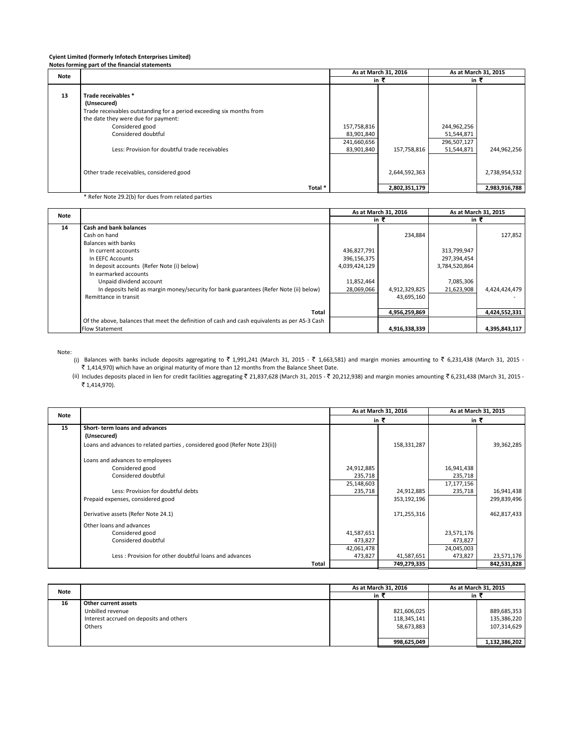| Note |                                                                                                                                                                                             |                           | As at March 31, 2016 |                           | As at March 31, 2015 |
|------|---------------------------------------------------------------------------------------------------------------------------------------------------------------------------------------------|---------------------------|----------------------|---------------------------|----------------------|
|      |                                                                                                                                                                                             |                           | in ₹                 | in ₹                      |                      |
| 13   | Trade receivables *<br>(Unsecured)<br>Trade receivables outstanding for a period exceeding six months from<br>the date they were due for payment:<br>Considered good<br>Considered doubtful | 157,758,816<br>83,901,840 |                      | 244,962,256<br>51,544,871 |                      |
|      | Less: Provision for doubtful trade receivables                                                                                                                                              | 241,660,656<br>83,901,840 | 157,758,816          | 296,507,127<br>51,544,871 | 244,962,256          |
|      | Other trade receivables, considered good                                                                                                                                                    |                           | 2,644,592,363        |                           | 2,738,954,532        |
|      | Total *                                                                                                                                                                                     |                           | 2,802,351,179        |                           | 2,983,916,788        |
|      | * Refer Note 29.2(b) for dues from related parties                                                                                                                                          |                           |                      |                           |                      |

| <b>Note</b> |                                                                                               |               | As at March 31, 2016 |               | As at March 31, 2015 |
|-------------|-----------------------------------------------------------------------------------------------|---------------|----------------------|---------------|----------------------|
|             |                                                                                               |               | in ₹                 | in₹           |                      |
| 14          | <b>Cash and bank balances</b>                                                                 |               |                      |               |                      |
|             | Cash on hand                                                                                  |               | 234,884              |               | 127,852              |
|             | Balances with banks                                                                           |               |                      |               |                      |
|             | In current accounts                                                                           | 436,827,791   |                      | 313,799,947   |                      |
|             | In EEFC Accounts                                                                              | 396,156,375   |                      | 297,394,454   |                      |
|             | In deposit accounts (Refer Note (i) below)                                                    | 4,039,424,129 |                      | 3,784,520,864 |                      |
|             | In earmarked accounts                                                                         |               |                      |               |                      |
|             | Unpaid dividend account                                                                       | 11,852,464    |                      | 7,085,306     |                      |
|             | In deposits held as margin money/security for bank guarantees (Refer Note (ii) below)         | 28,069,066    | 4,912,329,825        | 21,623,908    | 4,424,424,479        |
|             | Remittance in transit                                                                         |               | 43,695,160           |               |                      |
|             |                                                                                               |               |                      |               |                      |
|             | Total                                                                                         |               | 4,956,259,869        |               | 4,424,552,331        |
|             | Of the above, balances that meet the definition of cash and cash equivalents as per AS-3 Cash |               |                      |               |                      |
|             | <b>Flow Statement</b>                                                                         |               | 4,916,338,339        |               | 4,395,843,117        |

Note:

- (i) Balances with banks include deposits aggregating to ₹1,991,241 (March 31, 2015 ₹1,663,581) and margin monies amounting to ₹6,231,438 (March 31, 2015 - $\bar{\bar{\tau}}$  1,414,970) which have an original maturity of more than 12 months from the Balance Sheet Date.
- (ii) Includes deposits placed in lien for credit facilities aggregating ₹ 21,837,628 (March 31, 2015 ₹ 20,212,938) and margin monies amounting ₹ 6,231,438 (March 31, 2015 - $\bar{z}$  1,414,970).

|      |                                                                            |            | As at March 31, 2016 |            | As at March 31, 2015 |
|------|----------------------------------------------------------------------------|------------|----------------------|------------|----------------------|
| Note |                                                                            |            | in ₹                 | in ₹       |                      |
| 15   | Short-term loans and advances<br>(Unsecured)                               |            |                      |            |                      |
|      | Loans and advances to related parties, considered good (Refer Note 23(ii)) |            | 158,331,287          |            | 39,362,285           |
|      | Loans and advances to employees                                            |            |                      |            |                      |
|      | Considered good                                                            | 24,912,885 |                      | 16,941,438 |                      |
|      | Considered doubtful                                                        | 235,718    |                      | 235,718    |                      |
|      |                                                                            | 25,148,603 |                      | 17,177,156 |                      |
|      | Less: Provision for doubtful debts                                         | 235,718    | 24,912,885           | 235,718    | 16,941,438           |
|      | Prepaid expenses, considered good                                          |            | 353,192,196          |            | 299,839,496          |
|      | Derivative assets (Refer Note 24.1)                                        |            | 171,255,316          |            | 462,817,433          |
|      | Other loans and advances                                                   |            |                      |            |                      |
|      | Considered good                                                            | 41,587,651 |                      | 23,571,176 |                      |
|      | Considered doubtful                                                        | 473,827    |                      | 473,827    |                      |
|      |                                                                            | 42,061,478 |                      | 24,045,003 |                      |
|      | Less: Provision for other doubtful loans and advances                      | 473,827    | 41,587,651           | 473,827    | 23,571,176           |
|      | Total                                                                      |            | 749,279,335          |            | 842,531,828          |

| <b>Note</b> |                                         |      | As at March 31, 2016 | As at March 31, 2015 |               |  |
|-------------|-----------------------------------------|------|----------------------|----------------------|---------------|--|
|             |                                         | in ' |                      |                      | in            |  |
| 16          | Other current assets                    |      |                      |                      |               |  |
|             | Unbilled revenue                        |      | 821,606,025          |                      | 889,685,353   |  |
|             | Interest accrued on deposits and others |      | 118,345,141          |                      | 135,386,220   |  |
|             | Others                                  |      | 58,673,883           |                      | 107,314,629   |  |
|             |                                         |      |                      |                      |               |  |
|             |                                         |      | 998,625,049          |                      | 1,132,386,202 |  |